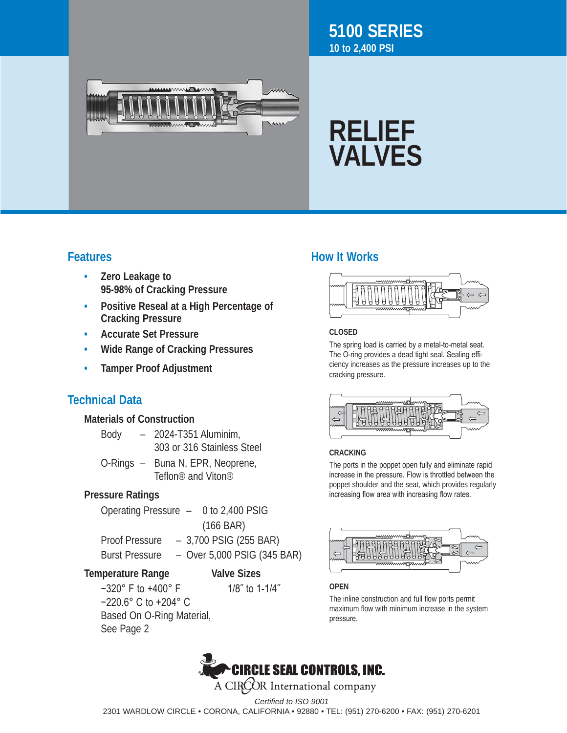

# **5100 SERIES 10 to 2,400 PSI**

# **RELIEF VALVES**

- **• Zero Leakage to 95-98% of Cracking Pressure**
- **• Positive Reseal at a High Percentage of Cracking Pressure**
- **• Accurate Set Pressure**
- **• Wide Range of Cracking Pressures**
- **• Tamper Proof Adjustment**

# **Technical Data**

## **Materials of Construction**

| Body | $-$ 2024-T351 Aluminim,    |
|------|----------------------------|
|      | 303 or 316 Stainless Steel |
|      | .                          |

O-Rings - Buna N, EPR, Neoprene, Teflon® and Viton®

# **Pressure Ratings**

| Operating Pressure $-$ 0 to 2,400 PSIG |  |                             |  |
|----------------------------------------|--|-----------------------------|--|
|                                        |  | $(166 \text{ BAR})$         |  |
| <b>Proof Pressure</b>                  |  | $-3,700$ PSIG (255 BAR)     |  |
| <b>Burst Pressure</b>                  |  | - Over 5,000 PSIG (345 BAR) |  |
|                                        |  |                             |  |

### **Temperature Range Valve Sizes**

 $-320^\circ$  F to  $+400^\circ$  F 1/8″ to 1-1/4″ −220.6° C to +204° C Based On O-Ring Material, See Page 2 

# **Features How It Works**



#### **CLOSED**

The spring load is carried by a metal-to-metal seat. The O-ring provides a dead tight seal. Sealing efficiency increases as the pressure increases up to the cracking pressure.



#### **CRACKING**

The ports in the poppet open fully and eliminate rapid increase in the pressure. Flow is throttled between the poppet shoulder and the seat, which provides regularly increasing flow area with increasing flow rates.



#### **OPEN**

The inline construction and full flow ports permit maximum flow with minimum increase in the system pressure.



*Certified to ISO 9001*

2301 WARDLOW CIRCLE • CORONA, CALIFORNIA • 92880 • TEL: (951) 270-6200 • FAX: (951) 270-6201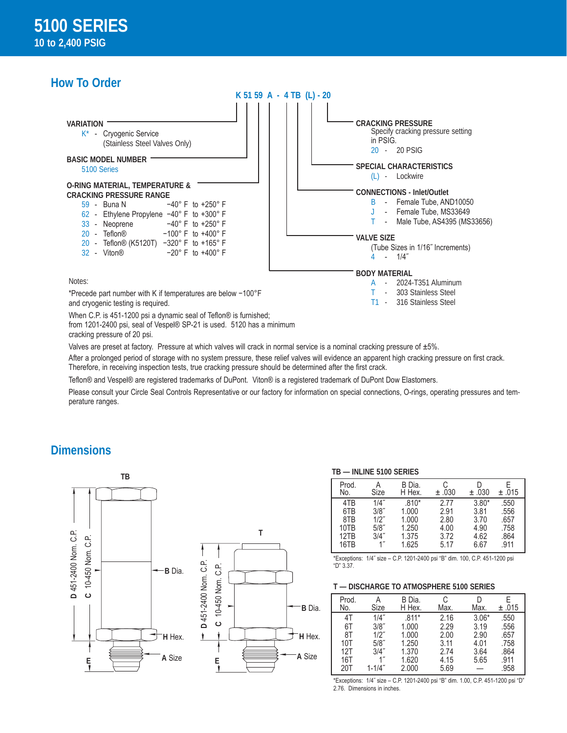# **How To Order**



from 1201-2400 psi, seal of Vespel® SP-21 is used. 5120 has a minimum cracking pressure of 20 psi.

Valves are preset at factory. Pressure at which valves will crack in normal service is a nominal cracking pressure of  $\pm 5\%$ .

After a prolonged period of storage with no system pressure, these relief valves will evidence an apparent high cracking pressure on first crack. Therefore, in receiving inspection tests, true cracking pressure should be determined after the first crack.

Teflon® and Vespel® are registered trademarks of DuPont. Viton® is a registered trademark of DuPont Dow Elastomers.

Please consult your Circle Seal Controls Representative or our factory for information on special connections, O-rings, operating pressures and temperature ranges.

### **Dimensions**





#### **TB — INLINE 5100 SERIES**

| Prod.           | Α                  | B Dia.  | C     | ±.030   | F     |
|-----------------|--------------------|---------|-------|---------|-------|
| No.             | Size               | H Hex.  | ±.030 |         | ±.015 |
| 4T <sub>R</sub> | 1/4"               | $.810*$ | 2.77  | $3.80*$ | .550  |
| 6TB             | 3/8"               | 1.000   | 2.91  | 3.81    | .556  |
| 8TB             | $1/2$ "            | 1.000   | 2.80  | 3.70    | .657  |
| 10TB            | $5/8$ "            | 1.250   | 4.00  | 4.90    | .758  |
| 12TB            | 3/4"               | 1.375   | 3.72  | 4.62    | .864  |
| 16TB            | $1^{\prime\prime}$ | 1.625   | 5.17  | 6.67    | .911  |

\*Exceptions: 1/4˝ size – C.P. 1201-2400 psi "B" dim. 100, C.P. 451-1200 psi "D" 3.37.

#### **T — DISCHARGE TO ATMOSPHERE 5100 SERIES**

| Prod.<br>No. | Size       | B Dia.<br>H Hex. | C<br>Max. | Max.    | ±.015 |
|--------------|------------|------------------|-----------|---------|-------|
| 4Τ           | 1/4"       | $.811*$          | 2.16      | $3.06*$ | .550  |
| 6Τ           | 3/8"       | 1.000            | 2.29      | 3.19    | .556  |
| 8Τ           | $1/2$ "    | 1.000            | 2.00      | 2.90    | .657  |
| 10T          | $5/8$ "    | 1.250            | 3.11      | 4.01    | .758  |
| 12T          | 3/4"       | 1.370            | 2.74      | 3.64    | .864  |
| 16T          |            | 1.620            | 4.15      | 5.65    | .911  |
| 20T          | $1 - 1/4"$ | 2.000            | 5.69      |         | .958  |

\*Exceptions: 1/4˝ size – C.P. 1201-2400 psi "B" dim. 1.00, C.P. 451-1200 psi "D" 2.76. Dimensions in inches.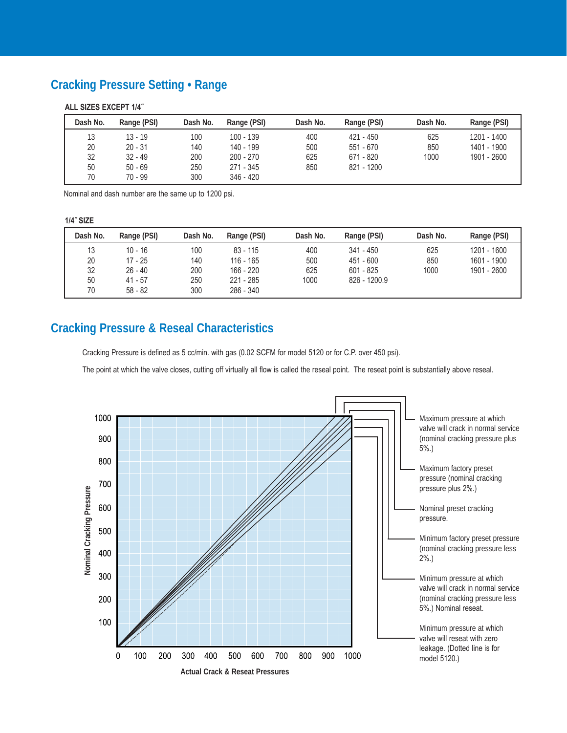# **Cracking Pressure Setting • Range**

#### **ALL SIZES EXCEPT 1/4˝**

| Dash No. | Range (PSI) | Dash No. | Range (PSI) | Dash No. | Range (PSI) | Dash No. | Range (PSI) |
|----------|-------------|----------|-------------|----------|-------------|----------|-------------|
| 13       | $13 - 19$   | 100      | $100 - 139$ | 400      | $421 - 450$ | 625      | 1201 - 1400 |
| 20       | $20 - 31$   | 140      | 140 - 199   | 500      | $551 - 670$ | 850      | 1401 - 1900 |
| 32       | $32 - 49$   | 200      | $200 - 270$ | 625      | 671 - 820   | 1000     | 1901 - 2600 |
| 50       | $50 - 69$   | 250      | 271 - 345   | 850      | 821 - 1200  |          |             |
| 70       | $70 - 99$   | 300      | $346 - 420$ |          |             |          |             |

Nominal and dash number are the same up to 1200 psi.

#### **1/4˝ SIZE**

| Dash No. | Range (PSI) | Dash No. | Range (PSI) | Dash No. | Range (PSI)  | Dash No. | Range (PSI) |
|----------|-------------|----------|-------------|----------|--------------|----------|-------------|
| 13       | $10 - 16$   | 100      | $83 - 115$  | 400      | $341 - 450$  | 625      | 1201 - 1600 |
| 20       | 17 - 25     | 140      | 116 - 165   | 500      | $451 - 600$  | 850      | 1601 - 1900 |
| 32       | $26 - 40$   | 200      | 166 - 220   | 625      | $601 - 825$  | 1000     | 1901 - 2600 |
| 50       | $41 - 57$   | 250      | $221 - 285$ | 1000     | 826 - 1200.9 |          |             |
| 70       | $58 - 82$   | 300      | 286 - 340   |          |              |          |             |

# **Cracking Pressure & Reseal Characteristics**

Cracking Pressure is defined as 5 cc/min. with gas (0.02 SCFM for model 5120 or for C.P. over 450 psi).

The point at which the valve closes, cutting off virtually all flow is called the reseal point. The reseat point is substantially above reseal.